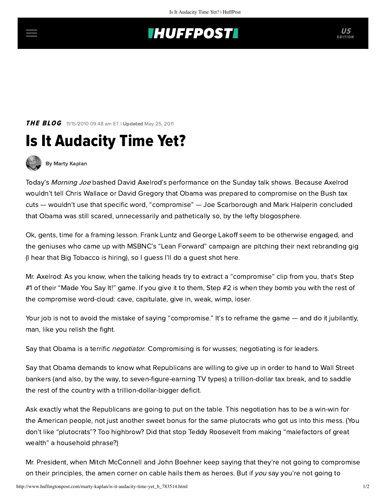## **INUFFPOSTI** US

**THE BLOG** 11/15/2010 09:48 am ET I Updated May 25, 2011

## Is It Audacity Time Yet?



[By Marty Kaplan](http://www.huffingtonpost.com/author/marty-kaplan)

Today's Morning Joe bashed David Axelrod's performance on the Sunday talk shows. Because Axelrod wouldn't tell Chris Wallace or David Gregory that Obama was prepared to compromise on the Bush tax cuts — wouldn't use that specific word, "compromise" — Joe Scarborough and Mark Halperin concluded that Obama was still scared, unnecessarily and pathetically so, by the lefty blogosphere.

Ok, gents, time for a framing lesson. Frank Luntz and George Lakoff seem to be otherwise engaged, and the geniuses who came up with MSBNC's "Lean Forward" campaign are pitching their next rebranding gig (I hear that Big Tobacco is hiring), so I guess I'll do a guest shot here.

Mr. Axelrod: As you know, when the talking heads try to extract a "compromise" clip from you, that's Step #1 of their "Made You Say It!" game. If you give it to them, Step #2 is when they bomb you with the rest of the compromise word-cloud: cave, capitulate, give in, weak, wimp, loser.

Your job is not to avoid the mistake of saying "compromise." It's to reframe the game — and do it jubilantly, man, like you relish the fight.

Say that Obama is a terrific *negotiator*. Compromising is for wusses; negotiating is for leaders.

Say that Obama demands to know what Republicans are willing to give up in order to hand to Wall Street bankers (and also, by the way, to seven-figure-earning TV types) a trillion-dollar tax break, and to saddle the rest of the country with a trillion-dollar-bigger deficit.

Ask exactly what the Republicans are going to put on the table. This negotiation has to be a win-win for the American people, not just another sweet bonus for the same plutocrats who got us into this mess. (You don't like "plutocrats"? Too highbrow? Did that stop Teddy Roosevelt from making "malefactors of great wealth" a household phrase?)

Mr. President, when Mitch McConnell and John Boehner keep saying that they're not going to compromise on their principles, the amen corner on cable hails them as heroes. But if you say you're not going to